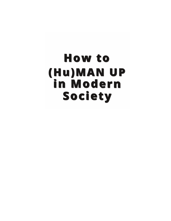# **How to** (Hu)MAN UP in Modern Society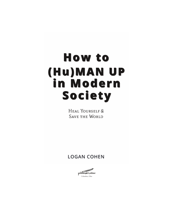# **How to** (Hu)MAN UP in Modern Society

HEAL YOURSELF & **SAVE THE WORLD** 

**LOGAN COHEN** 

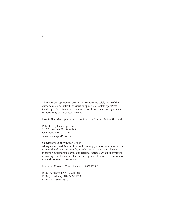The views and opinions expressed in this book are solely those of the author and do not reflect the views or opinions of Gatekeeper Press. Gatekeeper Press is not to be held responsible for and expressly disclaims responsibility of the content herein.

How to (Hu)Man Up in Modern Society: Heal Yourself & Save the World

Published by Gatekeeper Press 2167 Stringtown Rd, Suite 109 Columbus, OH 43123-2989 www.GatekeeperPress.com

Copyright © 2021 by Logan Cohen

All rights reserved. Neither this book, nor any parts within it may be sold or reproduced in any form or by any electronic or mechanical means, including information storage and retrieval systems, without permission in writing from the author. The only exception is by a reviewer, who may quote short excerpts in a review.

Library of Congress Control Number: 2021938383

ISBN (hardcover): 9781662911316 ISBN (paperback): 9781662911323 eISBN: 9781662911330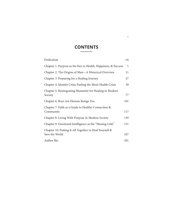#### **CONTENTS**  $\frac{1}{2} \left( \frac{1}{2} \right)^2 \left( \frac{1}{2} \right)^2 \left( \frac{1}{2} \right)^2 \left( \frac{1}{2} \right)^2 \left( \frac{1}{2} \right)^2 \left( \frac{1}{2} \right)^2 \left( \frac{1}{2} \right)^2 \left( \frac{1}{2} \right)^2 \left( \frac{1}{2} \right)^2 \left( \frac{1}{2} \right)^2 \left( \frac{1}{2} \right)^2 \left( \frac{1}{2} \right)^2 \left( \frac{1}{2} \right)^2 \left( \frac{1}{2} \right)^2 \left( \frac{1}{2} \right)^2 \left($

| Dedication                                                               | vii |
|--------------------------------------------------------------------------|-----|
| Chapter 1: Purpose as the Key to Health, Happiness, & Success            | 1   |
| Chapter 2: The Origins of Man-A Historical Overview                      | 11  |
| Chapter 3: Preparing for a Healing Journey                               | 27  |
| Chapter 4: Identity Crisis Fueling the Men's Health Crisis               | 39  |
| Chapter 5: Reintegrating Humanity for Healing in Modern<br>Society       | 77  |
| Chapter 6: Boys Are Human Beings Too                                     | 101 |
| Chapter 7: Faith as a Guide to Healthy Connection &<br>Community         | 117 |
| Chapter 8: Living With Purpose in Modern Society                         | 139 |
| Chapter 9: Emotional Intelligence as the "Missing Link"                  | 151 |
| Chapter 10: Putting It All Together to Heal Yourself &<br>Save the World | 167 |
| Author Bio                                                               | 201 |

v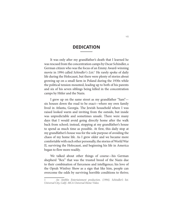### **DEDICATION**

It was only after my grandfather's death that I learned he was rescued from the concentration camps by Oscar Schindler, a German citizen who was the focus of an Emmy Award-winning movie in 1994 called *Schindler's List*.<sup>1</sup> He rarely spoke of daily life during the Holocaust, but there were plenty of stories about growing up on a small farm in Poland during the 1930s while the political tension mounted, leading up to both of his parents and six of his seven siblings being killed in the concentration camps by Hitler and the Nazis.

I grew up on the same street as my grandfather "Sam" six houses down the road to be exact—where my own family lived in Atlanta, Georgia. The Jewish household where I was raised looked warm and inviting from the outside, but inside was unpredictable and sometimes unsafe. There were many days that I would avoid going directly home after the walk back from school; instead, stopping at my grandfather's house to spend as much time as possible. At first, this daily stop at my grandfather's house was for the sole purpose of avoiding the chaos of my home life. As I grew older and we became more comfortable with each other personally, the stories of World War II, surviving the Holocaust, and beginning his life in America began to flow more readily.

We talked about other things of course—his German shepherd "Rex" that was the trusted breed of the Nazis due to their combination of fierceness and intelligence; his love of the Oprah Winfrey Show as a sign that like him, people can overcome the odds by surviving horrible conditions to thrive;

<sup>1</sup> *An Amblin Entertainment production. (1994). Schindler's list. Universal City, Calif.: MCA Universal Home Video.*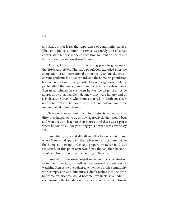and last, but not least, the importance of community service. The last topic of community service was rarely one of direct conversation but was modeled each time we went on one of our frequent outings in downtown Atlanta.

Atlanta, Georgia, was an interesting place to grow up in the 1980s and 1990s. The city's population exploded after the completion of an international airport in 1980, but the crackcocaine epidemic hit Atlanta hard, and the homeless population became notorious for a persistent—even aggressive style of panhandling that made tourists and even some locals nervous. Sam never blinked an eye when he was the target of a hostile approach by a panhandler. He knew they were hungry and as a Holocaust Survivor who almost starved to death on a few occasions himself, he could only feel compassion for these malnourished human beings.

Sam would never avoid them in the streets, no matter how dirty they happened to be or how aggressively they would beg, and would always listen to their stories until there was a pause where he could ask, "Are you hungry?" I never heard anyone say "No."

From there, we would all walk together to a local restaurant, where Sam would approach the cashier to instruct them to take the homeless person's order and prepare whatever food was requested. At this point Sam would pay the tab, then he and I would continue on our planned outing in the city.

I soaked up these stories of grit and unending determination from the Holocaust, as well as the personal experiences of watching Sam serve the vulnerable members of his community with compassion and humanity. I didn't realize it at the time, but these experiences would become invaluable as an adult even forming the foundation for a natural sense of the intimate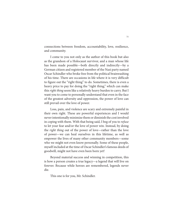connections between freedom, accountability, love, resilience, and community.

I come to you not only as the author of this book but also as the grandson of a Holocaust survivor, and a man whose life has been made possible—both directly and indirectly—by a German citizen and registered member of the Nazi party named Oscar Schindler who broke free from the political brainwashing of his time. There are occasions in life where it is very difficult to figure out the "right thing" to do. Sometimes, there is even a heavy price to pay for doing the "right thing," which can make this *right thing* seem like a relatively heavy burden to carry. But I want you to come to personally understand that even in the face of the greatest adversity and oppression, the power of love can still prevail over the love of power.

Loss, pain, and violence are scary and extremely painful in their own right. These are powerful experiences and I would never intentionally minimize them or diminish the cost involved in coping with them. With that being said, I beg of you to *refuse*  to let your fear and/or the love of power win. Instead, by doing the *right thing* out of the power of love—rather than the love of power—we can heal ourselves in this lifetime, as well as empower the lives of many other community members—some who we might not even know personally. Some of these people, myself included at the time of Oscar Schindler's famous deeds of goodwill, might not have even been born yet!

Beyond material success and winning in competition, this is how a person creates a true legacy—a legend that will live on forever. Because while heroes are remembered, legends never die.

This one is for you, Mr. Schindler.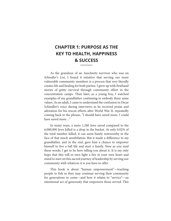### **CHAPTER 1: PURPOSE AS THE KEY TO HEALTH, HAPPINESS & SUCCESS**

As the grandson of an Auschwitz survivor who was on *Schindler*'*s List*, I found it intuitive that serving our more vulnerable community members is a process that very literally creates life and healing for both parties. I grew up with firsthand stories of gritty survival through community effort in the concentration camps. Then later, as a young boy, I watched examples of my grandfather continuing to embody these same values. As an adult, I came to understand the confusion in Oscar Schindler's voice during interviews as he received praise and adoration for his rescue efforts after World War II, repeatedly coming back to the phrase, "I should have saved more. I could have saved more…"

In many ways, a mere 1,200 Jews saved compared to the 6,000,000 Jews killed is a drop in the bucket. At only 0.02% of the total number killed, it can seem barely noteworthy in the face of that much annihilation. But it made a difference to my grandfather, and in the end, gave him a chance to empower himself to live a full life and start a family. Now as you read these words, I get to be here telling you about it. It is my only hope that this will in turn light a fire in your own heart and mind to start on this sacred journey of leadership by serving our community with whatever it is you have to offer.

This book is about "human empowerment"—teaching people to fish so they may continue serving their community for generations to come—and how it relates to "service"—an intentional act of generosity that empowers those served. This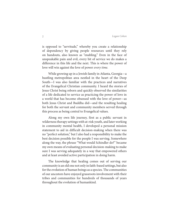is opposed to "servitude," whereby you create a relationship of dependency by giving people resources until they rely on handouts, also known as "enabling." Even in the face of unspeakable pain and evil, every bit of service we do makes a difference in this life and the next. This is where the power of love will win against the love of power *every time.*

While growing up in a Jewish family in Atlanta, Georgia—a hustling metropolitan area nestled in the heart of the Deep South—I was also familiar with the practices and narratives of the Evangelical Christian community. I heard the stories of Jesus Christ being reborn and quickly observed the similarities of a life dedicated to service as practicing the power of love in a world that has become obsessed with the love of power—as both Jesus Christ and Buddha did—and the resulting healing for both the servant and community members served through this process as being central to Evangelical values.

Along my own life journey, first as a public servant in wilderness therapy settings with at-risk youth, and later working in community mental health, I developed a personal mission statement to aid in difficult decision-making when there was no "perfect solution," but I also had a responsibility to make the best decision possible for the people I was serving. Somewhere along the way, the phrase "What would Schindler do?" became my own means of evaluating personal decision-making to make sure I was serving adequately in a way that empowered others and at least avoided active participation in doing harm.

The knowledge that healing comes out of serving our community is an old one not only in faith-based settings, but also for the evolution of human beings as a species. The communities of our ancestors have enjoyed grassroots involvement with their tribes and communities for hundreds of thousands of years throughout the evolution of humankind.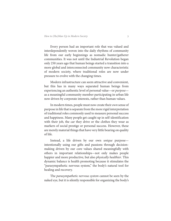Every person had an important role that was valued and interdependently woven into the daily rhythms of community life from our early beginnings as nomadic hunter/gatherer communities. It was not until the Industrial Revolution began only 250 years ago that human beings started a transition into a more global and interconnected community now characteristic of modern society, where traditional roles are now under pressure to evolve with the changing times.

Modern infrastructure can seem attractive and convenient, but this has in many ways separated human beings from experiencing an authentic level of personal value—or *purpose* as a meaningful community member participating in urban life now driven by corporate interests, rather than human values.

In modern times, people must now create their *own* sense of purpose in life that is separate from the more rigid interpretation of traditional roles commonly used to measure personal success and happiness. Many people get caught up in self-identification with their job, the car they drive or the clothes they wear as markers of social prestige or personal success. However, these are merely material things that have very little bearing on quality of life.

Instead, a life driven by our own *unique* purpose intentionally using our gifts and passions through decisionmaking driven by our core values shared meaningfully with others in important relationships—not only makes people happier and more productive, but also *physically healthier*. This dynamic balance is health promoting because it stimulates the "parasympathetic nervous system," the body's natural tool for healing and recovery.

The *parasympathetic nervous system* cannot be seen by the naked eye, but it is silently responsible for organizing the body's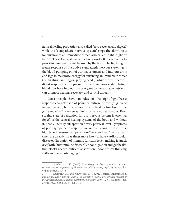natural healing properties, also called "rest, recover, and digest," while the "sympathetic nervous system" rings the alarm bells for survival of an immediate threat, also called "fight, flight or freeze." These two systems of the body work off of each other to prioritize how energy will be used by the body. The fight/flight/ freeze response of the body's sympathetic nervous system gets the blood pumping *out* of our major organs and into our arms and legs to maximize energy for surviving an immediate threat (i.e. fighting, running or "playing dead"), while the rest/recover/ digest response of the parasympathetic nervous system brings blood flow back into our major organs so the available nutrients can promote healing, recovery, and critical thought.

Most people have an idea of the fight/flight/freeze response characteristic of panic or outrage of the *sympathetic nervous system*, but the relaxation and healing function of the *parasympathetic nervous system* is usually not as obvious. Even so, this state of relaxation for our nervous system is essential for *all* of the central healing systems of the body and without it, people literally fall apart on a very physical level. Symptoms of poor sympathetic response include suffering from chronic high blood pressure that puts more "wear and tear" on the heart (men are already three times more likely to have cardiovascular disease), disruption of immune function (even making it attack *itself* with "autoimmune disease"), poor digestion and gut health that blocks needed nutrient absorption,<sup>2</sup> poor critical thinking skills and even faster aging.<sup>3</sup>

<sup>2</sup> McCorry L. K. (2007). Physiology of the autonomic nervous system. *American Journal of Pharmaceutical Education*, *71*(4), 78. https://doi. org/10.5688/aj710478

Lavretsky, H., and Newhouse, P. A. (2012). Stress, inflammation, and aging. *The American Journal of Geriatric Psychiatry : Official Journal of the American Association for Geriatric Psychiatry*, *20*(9), 729–733. https://doi. org/10.1097/JGP.0b013e31826573cf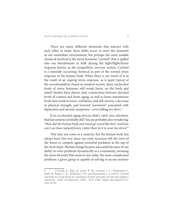There are many different chemicals that interact with each other to make these shifts occur to meet the demands of our immediate environment, but perhaps the most notable chemical involved is the stress hormone "cortisol" that is spilled into our bloodstream in bulk during the fight/flight/freeze response known as the sympathetic nervous system. Cortisol is a naturally occurring chemical as part of the normal stress response of the human body. When there is *too* much of it as the result of an *ongoing* stress response, as is quite typical of the overstimulation found in modern society, these unchecked levels of stress hormone will wreak havoc on the body and mind! Studies have shown clear connections between elevated levels of cortisol and faster aging, as well as lower testosterone levels that result in lower confidence and self-esteem, a decrease in physical strength, and lowered "serotonin" associated with depression and anxiety symptoms—even killing sex drive.4

If an accelerated aging process didn't catch your attention, that last sentence probably did! You are probably also wondering: *"How did the human body and mind get wired like this? And how can I use these natural forces, rather than let it to wear me down?"* 

This may not come as a surprise, but the human body has *always* been this way since our early ancestors left the trees of the forest to compete against powerful predators at the top of the food chain. Human beings became successful because of our ability to solve problems dynamically as a community, meaning the more diversity that exists in our ranks, the more complicated problems a given group is capable of solving to secure mastery

<sup>4</sup> Conradt, E., Abar, B., Lester, B. M., LaGasse, L. L., Shankaran, S., Bada, H., Bauer, C. R., Whitaker, T. M., and Hammond, J. A. (2014). Cortisol reactivity to social stress as a mediator of early adversity on risk and adaptive outcomes. *Child Development*, *85*(6), 2279–2298. https://doi.org/10.1111/ cdev.12316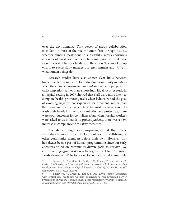over the environment.<sup>5</sup> This power of group collaboration is evident in most of the major human feats through history, whether hunting mastodons to successfully access enormous amounts of meat for our tribe, building pyramids that have stood the test of time, or landing on the moon. The use of group efforts to successfully manage our environment and *thrive* is what human beings do!

Research studies have also shown clear links between higher levels of compliance for individual community members when they have a *shared*/*community-driven* sense of purpose for task completion, rather than a more individual focus. A study in a hospital setting in 2007 showed that staff were more likely to complete health-promoting tasks when behaviors had the goal of avoiding negative consequences for a patient, rather than their *own* well-being. When hospital workers were asked to wash their hands for their own sanitation and protection, there were poor outcomes for compliance, but when hospital workers were asked to wash hands to protect *patients*, there was a 45% increase in compliance with safety measures.<sup>6</sup>

That statistic might seem surprising at first, that people are naturally more driven to look out for the well-being of other community members before their own. However, this has always been a part of human programming since our early ancestors relied on community-driven goals to survive. We are literally *programmed* on a biological level to "feel good/ satisfied/motivated" to look out for our affiliated community

Naeem, S., Chazdon, R., Duffy, J. E., Prager, C., and Worm, B. (2016). Biodiversity and human well-being: an essential link for sustainable development. *Proceedings. Biological Sciences*, *283*(1844), 20162091. https:// doi.org/10.1098/rspb.2016.2091

<sup>6</sup> Shigayeva, A., Green, K., Raboud, J.M. (2007). Factors associated with critical-care healthcare workers' adherence to recommended barrier precautions during the Toronto severe acute respiratory syndrome outbreak. *Infectious Control and Hospital Epidemiology; 28*:1275–1283.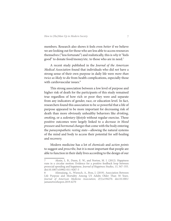members. Research also shows it feels even *better* if we believe we are looking out for those who are less able to access resources themselves ("less fortunate") and realistically, this is *why* it "feels good" to donate food/money/etc. to those who are in need.7

A recent study published in the *Journal of the American Medical Association* found that individuals who did *not* have a strong sense of their own purpose in daily life were *more than twice as likely to die* from health complications, especially those with cardiovascular issues.<sup>8</sup>

This strong association between a low level of purpose and higher risk of death for the participants of this study remained true regardless of how rich or poor they were and separate from any indicators of gender, race, or education level. In fact, researchers found this association to be *so* powerful that a life of purpose appeared to be more important for decreasing risk of death than more obviously unhealthy behaviors like *drinking*, *smoking*, or a *sedentary lifestyle* without regular exercise. These positive outcomes were largely linked to a *decrease in blood pressure* and *hormonal changes* that come with the body entering the *parasympathetic resting state*—allowing the natural systems of the mind and body to access their potential for self-healing and recovery.

Modern medicine has a lot of *chemicals* and *action points* to suggest and *prescribe*, but it is most important that people are able to function in their daily lives according to the design of our

<sup>7</sup> Aknin, L. B., Dunn, E. W., and Norton, M. I. (2012). Happiness runs in a circular motion: Evidence for a positive feedback loop between prosocial spending and happiness. *Journal of Happiness Studies, 13*, 347–355. doi:10.1007/s10902-011-9267-5

<sup>8</sup> Alimujiang, A., Wiensch, A., Boss, J. (2019). Association Between Life Purpose and Mortality Among US Adults Older Than 50 Years. *Journal of American Medicine Association*; *2*(5):e194270. doi:10.1001/ jamanetworkopen.2019.4270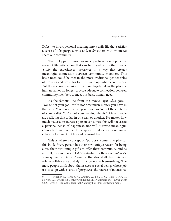DNA—to invest personal meaning into a daily life that satisfies a sense of life's purpose *with* and/or *for* others with whom we share our community.

The tricky part in modern society is to achieve a personal sense of life satisfaction that can be shared with other people *within* the experiences *themselves* in a way that creates meaningful connection between community members. This basic need could be met in the more traditional gender roles of provider and protector for most men up until recent history. But the corporate missions that have largely taken the place of human values no longer provide adequate connection between community members to meet this basic human need.

As the famous line from the movie *Fight Club* goes— "You're not your job. You're not how much money you have in the bank. You're not the car you drive. You're not the contents of your wallet. You're not your fucking khakis."9 Many people are realizing this today in one way or another. No matter how much material resources a person consumes, this will not create a personal sense of happiness, nor will it create meaningful connection with others for a species that depends on social cohesion for quality of life and personal health.

This is where a concept of "purpose" comes into play for this book. Every person has their *own* unique reason for being alive, their *own* unique gifts to offer their community, and as a result, everyone is a bit *different—*having their own *interests*, *value systems* and *talents/resources* that should all play their own role in collaborative and dynamic group problem-solving. The more people think about themselves as social beings whose job it is to align with a sense of *purpose* as the source of intentional

<sup>9</sup> Fincher, D., Linson, A., Chaffin, C., Bell, R. G., Uhls, J., Pitt, B., Norton, E.,... Twentieth Century Fox Home Entertainment, Inc. (2000). *Fight Club*. Beverly Hills, Calif: Twentieth Century Fox Home Entertainment.